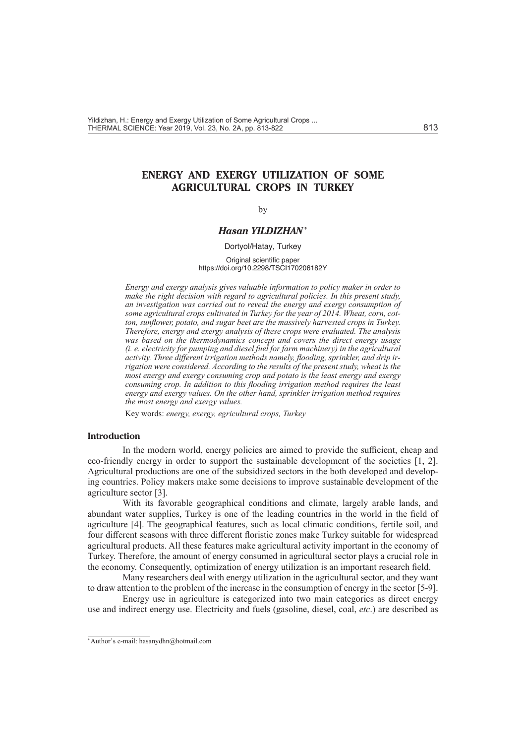# **ENERGY AND EXERGY UTILIZATION OF SOME AGRICULTURAL CROPS IN TURKEY**

### by

# *Hasan YILDIZHAN\**

Dortyol/Hatay, Turkey

#### Original scientific paper https://doi.org/10.2298/TSCI170206182Y

*Energy and exergy analysis gives valuable information to policy maker in order to make the right decision with regard to agricultural policies. In this present study, an investigation was carried out to reveal the energy and exergy consumption of some agricultural crops cultivated in Turkey for the year of 2014. Wheat, corn, cotton, sunflower, potato, and sugar beet are the massively harvested crops in Turkey. Therefore, energy and exergy analysis of these crops were evaluated. The analysis*  was based on the thermodynamics concept and covers the direct energy usage *(i. e. electricity for pumping and diesel fuel for farm machinery) in the agricultural activity. Three different irrigation methods namely, flooding, sprinkler, and drip irrigation were considered. According to the results of the present study, wheat is the most energy and exergy consuming crop and potato is the least energy and exergy consuming crop. In addition to this flooding irrigation method requires the least energy and exergy values. On the other hand, sprinkler irrigation method requires the most energy and exergy values.*

Key words: *energy, exergy, egricultural crops, Turkey*

#### **Introduction**

In the modern world, energy policies are aimed to provide the sufficient, cheap and eco-friendly energy in order to support the sustainable development of the societies [1, 2]. Agricultural productions are one of the subsidized sectors in the both developed and developing countries. Policy makers make some decisions to improve sustainable development of the agriculture sector [3].

With its favorable geographical conditions and climate, largely arable lands, and abundant water supplies, Turkey is one of the leading countries in the world in the field of agriculture [4]. The geographical features, such as local climatic conditions, fertile soil, and four different seasons with three different floristic zones make Turkey suitable for widespread agricultural products. All these features make agricultural activity important in the economy of Turkey. Therefore, the amount of energy consumed in agricultural sector plays a crucial role in the economy. Consequently, optimization of energy utilization is an important research field.

Many researchers deal with energy utilization in the agricultural sector, and they want to draw attention to the problem of the increase in the consumption of energy in the sector [5-9].

Energy use in agriculture is categorized into two main categories as direct energy use and indirect energy use. Electricity and fuels (gasoline, diesel, coal, *etc*.) are described as

<sup>\*</sup> Author's e-mail: hasanydhn@hotmail.com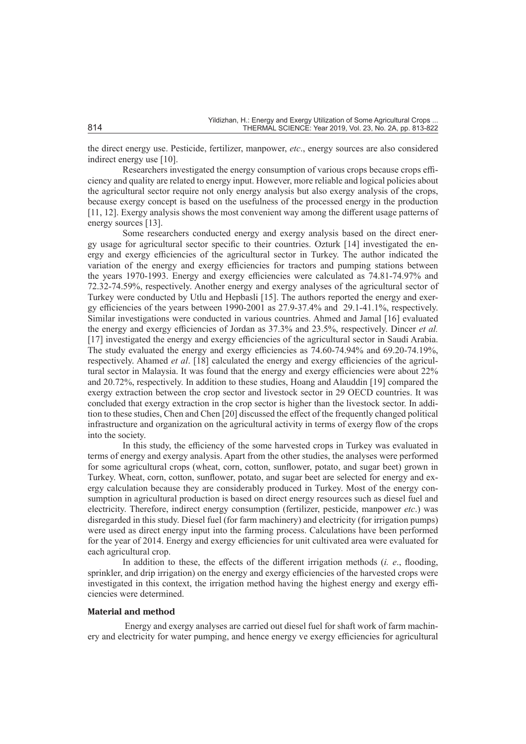the direct energy use. Pesticide, fertilizer, manpower, *etc*., energy sources are also considered indirect energy use [10].

Researchers investigated the energy consumption of various crops because crops efficiency and quality are related to energy input. However, more reliable and logical policies about the agricultural sector require not only energy analysis but also exergy analysis of the crops, because exergy concept is based on the usefulness of the processed energy in the production [11, 12]. Exergy analysis shows the most convenient way among the different usage patterns of energy sources [13].

Some researchers conducted energy and exergy analysis based on the direct energy usage for agricultural sector specific to their countries. Ozturk [14] investigated the energy and exergy efficiencies of the agricultural sector in Turkey. The author indicated the variation of the energy and exergy efficiencies for tractors and pumping stations between the years 1970-1993. Energy and exergy efficiencies were calculated as 74.81-74.97% and 72.32-74.59%, respectively. Another energy and exergy analyses of the agricultural sector of Turkey were conducted by Utlu and Hepbasli [15]. The authors reported the energy and exergy efficiencies of the years between 1990-2001 as 27.9-37.4% and 29.1-41.1%, respectively. Similar investigations were conducted in various countries. Ahmed and Jamal [16] evaluated the energy and exergy efficiencies of Jordan as 37.3% and 23.5%, respectively. Dincer *et al.* [17] investigated the energy and exergy efficiencies of the agricultural sector in Saudi Arabia. The study evaluated the energy and exergy efficiencies as 74.60-74.94% and 69.20-74.19%, respectively. Ahamed *et al*. [18] calculated the energy and exergy efficiencies of the agricultural sector in Malaysia. It was found that the energy and exergy efficiencies were about 22% and 20.72%, respectively. In addition to these studies, Hoang and Alauddin [19] compared the exergy extraction between the crop sector and livestock sector in 29 OECD countries. It was concluded that exergy extraction in the crop sector is higher than the livestock sector. In addition to these studies, Chen and Chen [20] discussed the effect of the frequently changed political infrastructure and organization on the agricultural activity in terms of exergy flow of the crops into the society.

In this study, the efficiency of the some harvested crops in Turkey was evaluated in terms of energy and exergy analysis. Apart from the other studies, the analyses were performed for some agricultural crops (wheat, corn, cotton, sunflower, potato, and sugar beet) grown in Turkey. Wheat, corn, cotton, sunflower, potato, and sugar beet are selected for energy and exergy calculation because they are considerably produced in Turkey. Most of the energy consumption in agricultural production is based on direct energy resources such as diesel fuel and electricity. Therefore, indirect energy consumption (fertilizer, pesticide, manpower *etc*.) was disregarded in this study. Diesel fuel (for farm machinery) and electricity (for irrigation pumps) were used as direct energy input into the farming process. Calculations have been performed for the year of 2014. Energy and exergy efficiencies for unit cultivated area were evaluated for each agricultural crop.

In addition to these, the effects of the different irrigation methods (*i. e*., flooding, sprinkler, and drip irrigation) on the energy and exergy efficiencies of the harvested crops were investigated in this context, the irrigation method having the highest energy and exergy efficiencies were determined.

#### **Material and method**

 Energy and exergy analyses are carried out diesel fuel for shaft work of farm machinery and electricity for water pumping, and hence energy ve exergy efficiencies for agricultural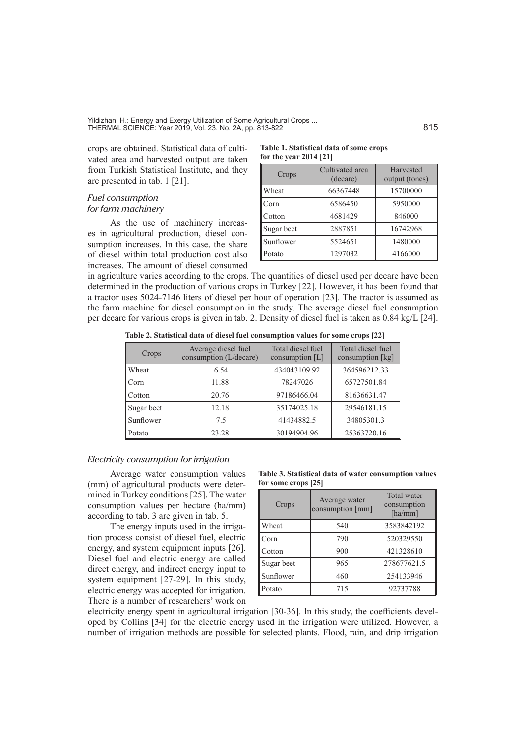crops are obtained. Statistical data of cultivated area and harvested output are taken from Turkish Statistical Institute, and they are presented in tab. 1 [21].

## *Fuel consumption for farm machinery*

As the use of machinery increases in agricultural production, diesel consumption increases. In this case, the share of diesel within total production cost also increases. The amount of diesel consumed

#### **Table 1. Statistical data of some crops for the year 2014 [21]**

| Crops      | Cultivated area<br>(decare) | Harvested<br>output (tones) |
|------------|-----------------------------|-----------------------------|
| Wheat      | 66367448                    | 15700000                    |
| Corn       | 6586450                     | 5950000                     |
| Cotton     | 4681429                     | 846000                      |
| Sugar beet | 2887851                     | 16742968                    |
| Sunflower  | 5524651                     | 1480000                     |
| Potato     | 1297032                     | 4166000                     |

in agriculture varies according to the crops. The quantities of diesel used per decare have been determined in the production of various crops in Turkey [22]. However, it has been found that a tractor uses 5024-7146 liters of diesel per hour of operation [23]. The tractor is assumed as the farm machine for diesel consumption in the study. The average diesel fuel consumption per decare for various crops is given in tab. 2. Density of diesel fuel is taken as 0.84 kg/L [24].

 **Table 2. Statistical data of diesel fuel consumption values for some crops [22]**

| Crops      | Average diesel fuel<br>consumption (L/decare) | Total diesel fuel<br>consumption $[L]$ | Total diesel fuel<br>consumption [kg] |
|------------|-----------------------------------------------|----------------------------------------|---------------------------------------|
| Wheat      | 6.54                                          | 434043109.92                           | 364596212.33                          |
| Corn       | 11.88                                         | 78247026                               | 65727501.84                           |
| Cotton     | 20.76                                         | 97186466.04                            | 81636631.47                           |
| Sugar beet | 12.18                                         | 35174025.18                            | 29546181.15                           |
| Sunflower  | 7.5                                           | 41434882.5                             | 34805301.3                            |
| Potato     | 23.28                                         | 30194904.96                            | 25363720.16                           |

# *Electricity consumption for irrigation*

Average water consumption values (mm) of agricultural products were determined in Turkey conditions [25]. The water consumption values per hectare (ha/mm) according to tab. 3 are given in tab. 5.

The energy inputs used in the irrigation process consist of diesel fuel, electric energy, and system equipment inputs [26]. Diesel fuel and electric energy are called direct energy, and indirect energy input to system equipment [27-29]. In this study, electric energy was accepted for irrigation. There is a number of researchers' work on

| Table 3. Statistical data of water consumption values |  |  |
|-------------------------------------------------------|--|--|
| for some crops [25]                                   |  |  |

| Crops      | Average water<br>consumption [mm] | <b>Total</b> water<br>consumption<br>$[\text{ha/mm}]$ |
|------------|-----------------------------------|-------------------------------------------------------|
| Wheat      | 540                               | 3583842192                                            |
| Corn       | 790                               | 520329550                                             |
| Cotton     | 900                               | 421328610                                             |
| Sugar beet | 965                               | 278677621.5                                           |
| Sunflower  | 460                               | 254133946                                             |
| Potato     | 715                               | 92737788                                              |

electricity energy spent in agricultural irrigation [30-36]. In this study, the coefficients developed by Collins [34] for the electric energy used in the irrigation were utilized. However, a number of irrigation methods are possible for selected plants. Flood, rain, and drip irrigation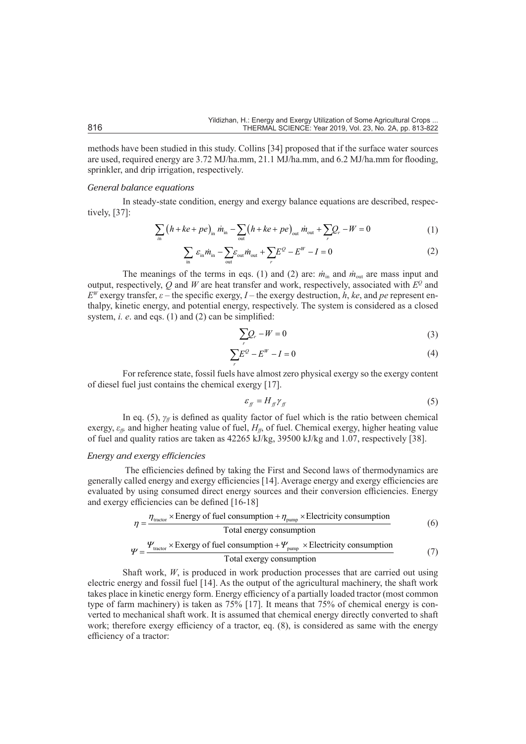methods have been studied in this study. Collins [34] proposed that if the surface water sources are used, required energy are 3.72 MJ/ha.mm, 21.1 MJ/ha.mm, and 6.2 MJ/ha.mm for flooding, sprinkler, and drip irrigation, respectively.

## *General balance equations*

In steady-state condition, energy and exergy balance equations are described, respectively, [37]:

$$
\sum_{\text{in}} \left( h + ke + pe \right)_{\text{in}} \dot{m}_{\text{in}} - \sum_{\text{out}} \left( h + ke + pe \right)_{\text{out}} \dot{m}_{\text{out}} + \sum_{r} Q_r - W = 0 \tag{1}
$$

$$
\sum_{\text{in}} \varepsilon_{\text{in}} \dot{m}_{\text{in}} - \sum_{\text{out}} \varepsilon_{\text{out}} \dot{m}_{\text{out}} + \sum_{r} E^{\mathcal{Q}} - E^{W} - I = 0 \tag{2}
$$

The meanings of the terms in eqs. (1) and (2) are:  $\dot{m}_{in}$  and  $\dot{m}_{out}$  are mass input and output, respectively,  $\overline{Q}$  and *W* are heat transfer and work, respectively, associated with  $E^Q$  and  $E^W$  exergy transfer,  $\varepsilon$  – the specific exergy, *I* – the exergy destruction, *h*, *ke*, and *pe* represent enthalpy, kinetic energy, and potential energy, respectively. The system is considered as a closed system, *i. e.* and eqs. (1) and (2) can be simplified:

$$
\sum_{r} Q_r - W = 0 \tag{3}
$$

$$
\sum_{r} E^{\mathcal{Q}} - E^{W} - I = 0 \tag{4}
$$

For reference state, fossil fuels have almost zero physical exergy so the exergy content of diesel fuel just contains the chemical exergy [17].

$$
\varepsilon_{ff} = H_{ff} \gamma_{ff} \tag{5}
$$

In eq. (5),  $\gamma_f$  is defined as quality factor of fuel which is the ratio between chemical exergy,  $\varepsilon_{ff}$ , and higher heating value of fuel,  $H_{ff}$ , of fuel. Chemical exergy, higher heating value of fuel and quality ratios are taken as 42265 kJ/kg, 39500 kJ/kg and 1.07, respectively [38].

#### *Energy and exergy efficiencies*

 The efficiencies defined by taking the First and Second laws of thermodynamics are generally called energy and exergy efficiencies [14]. Average energy and exergy efficiencies are evaluated by using consumed direct energy sources and their conversion efficiencies. Energy and exergy efficiencies can be defined [16-18]

$$
\eta = \frac{\eta_{\text{tractor}} \times \text{Energy of fuel consumption} + \eta_{\text{pump}} \times \text{Electricity consumption}}{\text{Total energy consumption}}
$$
(6)

$$
\Psi = \frac{\Psi_{\text{tractor}} \times \text{Exergy of fuel consumption} + \Psi_{\text{pump}} \times \text{Electricity consumption}}{\text{Total exergy consumption}}
$$
(7)

Shaft work, *W*, is produced in work production processes that are carried out using electric energy and fossil fuel [14]. As the output of the agricultural machinery, the shaft work takes place in kinetic energy form. Energy efficiency of a partially loaded tractor (most common type of farm machinery) is taken as 75% [17]. It means that 75% of chemical energy is converted to mechanical shaft work. It is assumed that chemical energy directly converted to shaft work; therefore exergy efficiency of a tractor, eq. (8), is considered as same with the energy efficiency of a tractor: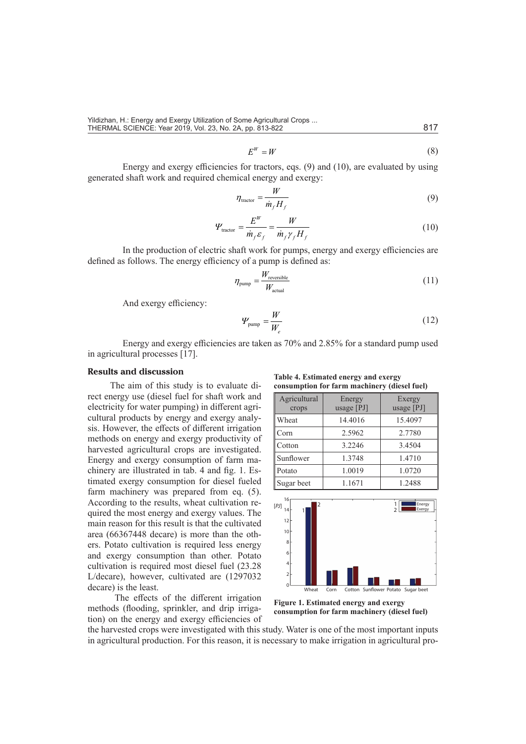Yildizhan, H.: Energy and Exergy Utilization of Some Agricultural Crops ... THERMAL SCIENCE: Year 2019, Vol. 23, No. 2A, pp. 813-822 817

$$
E^W = W \tag{8}
$$

Energy and exergy efficiencies for tractors, eqs. (9) and (10), are evaluated by using generated shaft work and required chemical energy and exergy:

$$
\eta_{\text{macro}} = \frac{W}{\dot{m}_f H_f} \tag{9}
$$

$$
\Psi_{\text{tractor}} = \frac{E^W}{\dot{m}_f \varepsilon_f} = \frac{W}{\dot{m}_f \gamma_f H_f} \tag{10}
$$

In the production of electric shaft work for pumps, energy and exergy efficiencies are defined as follows. The energy efficiency of a pump is defined as:

$$
\eta_{\text{pump}} = \frac{W_{\text{reversible}}}{W_{\text{actual}}}
$$
\n(11)

And exergy efficiency:

$$
\Psi_{\text{pump}} = \frac{W}{W_e} \tag{12}
$$

Energy and exergy efficiencies are taken as 70% and 2.85% for a standard pump used in agricultural processes [17].

## **Results and discussion**

The aim of this study is to evaluate direct energy use (diesel fuel for shaft work and electricity for water pumping) in different agricultural products by energy and exergy analysis. However, the effects of different irrigation methods on energy and exergy productivity of harvested agricultural crops are investigated. Energy and exergy consumption of farm machinery are illustrated in tab. 4 and fig. 1. Estimated exergy consumption for diesel fueled farm machinery was prepared from eq. (5). According to the results, wheat cultivation required the most energy and exergy values. The main reason for this result is that the cultivated area (66367448 decare) is more than the others. Potato cultivation is required less energy and exergy consumption than other. Potato cultivation is required most diesel fuel (23.28 L/decare), however, cultivated are (1297032 decare) is the least.

 The effects of the different irrigation methods (flooding, sprinkler, and drip irrigation) on the energy and exergy efficiencies of

**Table 4. Estimated energy and exergy consumption for farm machinery (diesel fuel)**

| consumption for farm machinery (diesel fuel) |                        |                      |  |
|----------------------------------------------|------------------------|----------------------|--|
| Agricultural<br>crops                        | Energy<br>usage $[PI]$ | Exergy<br>usage [PJ] |  |
| Wheat                                        | 14.4016                | 15.4097              |  |
| Corn                                         | 2.5962                 | 2.7780               |  |
| Cotton                                       | 3.2246                 | 3.4504               |  |
| Sunflower                                    | 1.3748                 | 1.4710               |  |
| Potato                                       | 1.0019                 | 1.0720               |  |
| Sugar beet                                   | 1.1671                 | 1.2488               |  |



**Figure 1. Estimated energy and exergy consumption for farm machinery (diesel fuel)**

the harvested crops were investigated with this study. Water is one of the most important inputs in agricultural production. For this reason, it is necessary to make irrigation in agricultural pro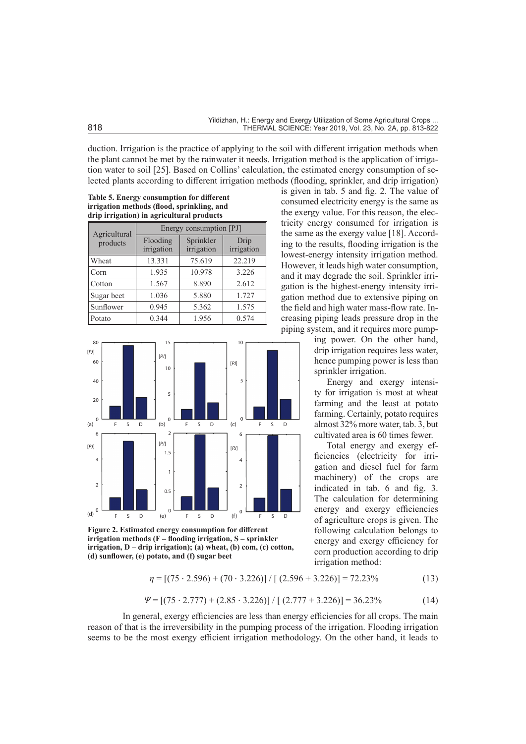duction. Irrigation is the practice of applying to the soil with different irrigation methods when the plant cannot be met by the rainwater it needs. Irrigation method is the application of irrigation water to soil [25]. Based on Collins' calculation, the estimated energy consumption of selected plants according to different irrigation methods (flooding, sprinkler, and drip irrigation)

**Table 5. Energy consumption for different irrigation methods (flood, sprinkling, and drip irrigation) in agricultural products**

| Agricultural | Energy consumption [PJ] |                         |                    |
|--------------|-------------------------|-------------------------|--------------------|
| products     | Flooding<br>irrigation  | Sprinkler<br>irrigation | Drip<br>irrigation |
| Wheat        | 13.331                  | 75.619                  | 22.219             |
| Corn         | 1.935                   | 10.978                  | 3.226              |
| Cotton       | 1.567                   | 8.890                   | 2.612              |
| Sugar beet   | 1.036                   | 5.880                   | 1.727              |
| Sunflower    | 0.945                   | 5.362                   | 1.575              |
| Potato       | 0.344                   | 1.956                   | 0.574              |



**Figure 2. Estimated energy consumption for different irrigation methods (F – flooding irrigation, S – sprinkler irrigation, D – drip irrigation); (a) wheat, (b) com, (c) cotton, (d) sunflower, (e) potato, and (f) sugar beet**

is given in tab. 5 and fig. 2. The value of consumed electricity energy is the same as the exergy value. For this reason, the electricity energy consumed for irrigation is the same as the exergy value [18]. According to the results, flooding irrigation is the lowest-energy intensity irrigation method. However, it leads high water consumption, and it may degrade the soil. Sprinkler irrigation is the highest-energy intensity irrigation method due to extensive piping on the field and high water mass-flow rate. Increasing piping leads pressure drop in the piping system, and it requires more pump-

> ing power. On the other hand, drip irrigation requires less water, hence pumping power is less than sprinkler irrigation.

> Energy and exergy intensity for irrigation is most at wheat farming and the least at potato farming. Certainly, potato requires almost 32% more water, tab. 3, but cultivated area is 60 times fewer.

> Total energy and exergy efficiencies (electricity for irrigation and diesel fuel for farm machinery) of the crops are indicated in tab. 6 and fig. 3. The calculation for determining energy and exergy efficiencies of agriculture crops is given. The following calculation belongs to energy and exergy efficiency for corn production according to drip irrigation method:

$$
\eta = [(75 \cdot 2.596) + (70 \cdot 3.226)] / [(2.596 + 3.226)] = 72.23\% \tag{13}
$$

$$
\Psi = \left[ (75 \cdot 2.777) + (2.85 \cdot 3.226) \right] / \left[ (2.777 + 3.226) \right] = 36.23\% \tag{14}
$$

In general, exergy efficiencies are less than energy efficiencies for all crops. The main reason of that is the irreversibility in the pumping process of the irrigation. Flooding irrigation seems to be the most exergy efficient irrigation methodology. On the other hand, it leads to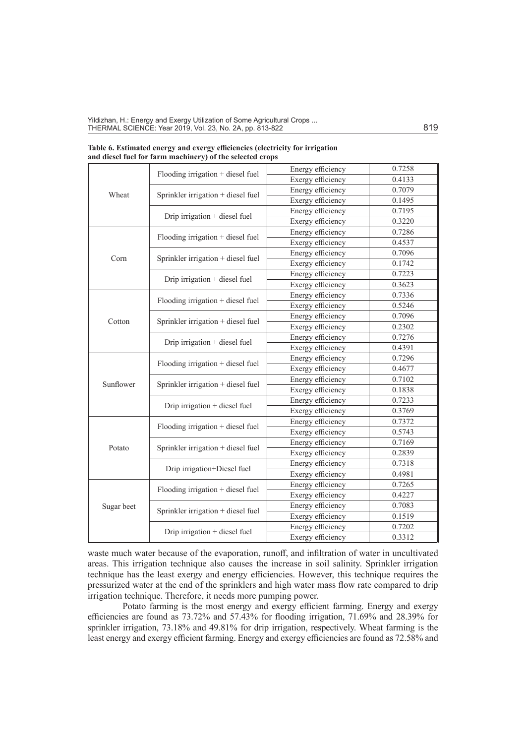| Wheat      |                                     | Energy efficiency | 0.7258 |
|------------|-------------------------------------|-------------------|--------|
|            | Flooding irrigation + diesel fuel   | Exergy efficiency | 0.4133 |
|            |                                     | Energy efficiency | 0.7079 |
|            | Sprinkler irrigation + diesel fuel  | Exergy efficiency | 0.1495 |
|            |                                     | Energy efficiency | 0.7195 |
|            | Drip irrigation + diesel fuel       | Exergy efficiency | 0.3220 |
|            |                                     | Energy efficiency | 0.7286 |
|            | Flooding irrigation + diesel fuel   | Exergy efficiency | 0.4537 |
|            |                                     | Energy efficiency | 0.7096 |
| Corn       | Sprinkler irrigation + diesel fuel  | Exergy efficiency | 0.1742 |
|            |                                     | Energy efficiency | 0.7223 |
|            | Drip irrigation + diesel fuel       | Exergy efficiency | 0.3623 |
|            |                                     | Energy efficiency | 0.7336 |
|            | Flooding irrigation + diesel fuel   | Exergy efficiency | 0.5246 |
|            |                                     | Energy efficiency | 0.7096 |
| Cotton     | Sprinkler irrigation + diesel fuel  | Exergy efficiency | 0.2302 |
|            |                                     | Energy efficiency | 0.7276 |
|            | Drip irrigation + diesel fuel       | Exergy efficiency | 0.4391 |
|            |                                     | Energy efficiency | 0.7296 |
|            | Flooding irrigation + diesel fuel   | Exergy efficiency | 0.4677 |
|            |                                     | Energy efficiency | 0.7102 |
| Sunflower  | Sprinkler irrigation + diesel fuel  | Exergy efficiency | 0.1838 |
|            |                                     | Energy efficiency | 0.7233 |
|            | Drip irrigation + diesel fuel       | Exergy efficiency | 0.3769 |
|            |                                     | Energy efficiency | 0.7372 |
|            | Flooding irrigation $+$ diesel fuel | Exergy efficiency | 0.5743 |
|            |                                     | Energy efficiency | 0.7169 |
| Potato     | Sprinkler irrigation + diesel fuel  | Exergy efficiency | 0.2839 |
|            |                                     | Energy efficiency | 0.7318 |
|            | Drip irrigation+Diesel fuel         | Exergy efficiency | 0.4981 |
|            |                                     | Energy efficiency | 0.7265 |
|            | Flooding irrigation + diesel fuel   | Exergy efficiency | 0.4227 |
| Sugar beet |                                     | Energy efficiency | 0.7083 |
|            | Sprinkler irrigation + diesel fuel  | Exergy efficiency | 0.1519 |
|            | Drip irrigation + diesel fuel       | Energy efficiency | 0.7202 |
|            |                                     | Exergy efficiency | 0.3312 |

**Table 6. Estimated energy and exergy efficiencies (electricity for irrigation and diesel fuel for farm machinery) of the selected crops**

waste much water because of the evaporation, runoff, and infiltration of water in uncultivated areas. This irrigation technique also causes the increase in soil salinity. Sprinkler irrigation technique has the least exergy and energy efficiencies. However, this technique requires the pressurized water at the end of the sprinklers and high water mass flow rate compared to drip irrigation technique. Therefore, it needs more pumping power.

Potato farming is the most energy and exergy efficient farming. Energy and exergy efficiencies are found as 73.72% and 57.43% for flooding irrigation, 71.69% and 28.39% for sprinkler irrigation, 73.18% and 49.81% for drip irrigation, respectively. Wheat farming is the least energy and exergy efficient farming. Energy and exergy efficiencies are found as 72.58% and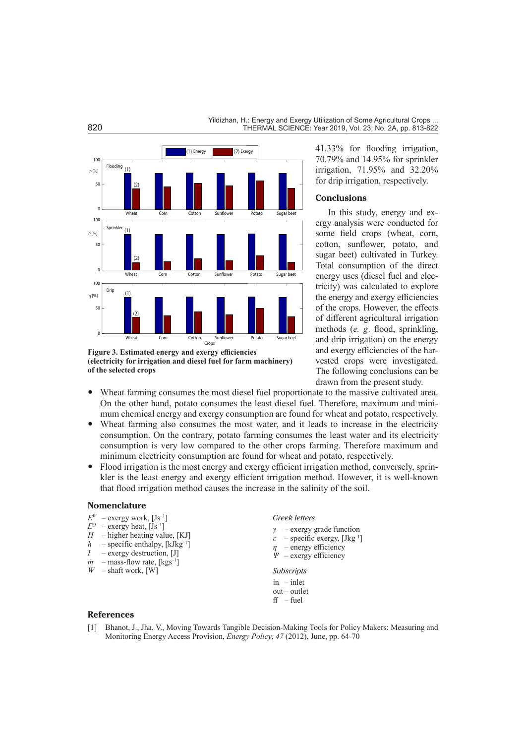

**Figure 3. Estimated energy and exergy efficiencies (electricity for irrigation and diesel fuel for farm machinery) of the selected crops**

41.33% for flooding irrigation, 70.79% and 14.95% for sprinkler irrigation, 71.95% and 32.20% for drip irrigation, respectively.

# **Conclusions**

In this study, energy and exergy analysis were conducted for some field crops (wheat, corn, cotton, sunflower, potato, and sugar beet) cultivated in Turkey. Total consumption of the direct energy uses (diesel fuel and electricity) was calculated to explore the energy and exergy efficiencies of the crops. However, the effects of different agricultural irrigation methods (*e. g*. flood, sprinkling, and drip irrigation) on the energy and exergy efficiencies of the harvested crops were investigated. The following conclusions can be drawn from the present study.

- Wheat farming consumes the most diesel fuel proportionate to the massive cultivated area. On the other hand, potato consumes the least diesel fuel. Therefore, maximum and minimum chemical energy and exergy consumption are found for wheat and potato, respectively.
- Wheat farming also consumes the most water, and it leads to increase in the electricity consumption. On the contrary, potato farming consumes the least water and its electricity consumption is very low compared to the other crops farming. Therefore maximum and minimum electricity consumption are found for wheat and potato, respectively.
- Flood irrigation is the most energy and exergy efficient irrigation method, conversely, sprinkler is the least energy and exergy efficient irrigation method. However, it is well-known that flood irrigation method causes the increase in the salinity of the soil.

#### **Nomenclature**

- $E^{W}$  exergy work, [Js<sup>-1</sup>]<br> $E^{Q}$  exergy heat, [Js<sup>-1</sup>]
- *–* exergy heat, [Js<sup>-1</sup>]
- *H* higher heating value, [KJ]
- $h$  specific enthalpy, [kJkg<sup>-1</sup>]
- *I* exergy destruction, [J]
- $\dot{m}$  mass-flow rate, [kgs<sup>-1</sup>]
- *W* shaft work, [W]

#### *Greek letters*

- *γ –* exergy grade function
- *ε –* specific exergy, [Jkg–1]
- *η –* energy efficiency
- *Ψ –* exergy efficiency
- *Subscripts* in – inlet out – outlet  $ff$  – fuel

- **References**
- [1] Bhanot, J., Jha, V., Moving Towards Tangible Decision-Making Tools for Policy Makers: Measuring and Monitoring Energy Access Provision, *Energy Policy*, *47* (2012), June, pp. 64-70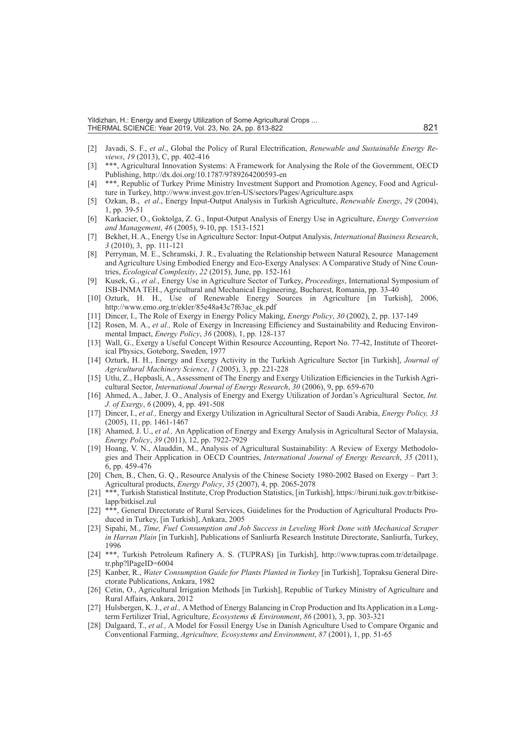Yildizhan, H.: Energy and Exergy Utilization of Some Agricultural Crops ... THERMAL SCIENCE: Year 2019, Vol. 23, No. 2A, pp. 813-822 821

- [2] Javadi, S. F., *et al*., Global the Policy of Rural Electrification, *Renewable and Sustainable Energy Reviews*, *19* (2013), C, pp. 402-416
- \*\*\*, Agricultural Innovation Systems: A Framework for Analysing the Role of the Government, OECD Publishing, http://dx.doi.org/10.1787/9789264200593-en
- [4] \*\*\*, Republic of Turkey Prime Ministry Investment Support and Promotion Agency, Food and Agriculture in Turkey, http://www.invest.gov.tr/en-US/sectors/Pages/Agriculture.aspx
- [5] Ozkan, B., *et al*., Energy Input-Output Analysis in Turkish Agriculture, *Renewable Energy*, *29* (2004), 1, pp. 39-51
- [6] Karkacier, O., Goktolga, Z. G., Input-Output Analysis of Energy Use in Agriculture, *Energy Conversion and Management*, *46* (2005), 9-10, pp. 1513-1521
- [7] Bekhet, H. A., Energy Use in Agriculture Sector: Input-Output Analysis, *International Business Research*, *3* (2010), 3, pp. 111-121
- [8] Perryman, M. E., Schramski, J. R., Evaluating the Relationship between Natural Resource Management and Agriculture Using Embodied Energy and Eco-Exergy Analyses: A Comparative Study of Nine Countries, *Ecological Complexity*, *22* (2015), June, pp. 152-161
- [9] Kusek, G., *et al.*, Energy Use in Agriculture Sector of Turkey, *Proceedings*, International Symposium of ISB-INMA TEH., Agricultural and Mechanical Engineering, Bucharest, Romania, pp. 33-40
- [10] Ozturk, H. H., Use of Renewable Energy Sources in Agriculture [in Turkish], 2006, http://www.emo.org.tr/ekler/85e48a43c7f63ac\_ek.pdf
- [11] Dincer, I., The Role of Exergy in Energy Policy Making, *Energy Policy*, *30* (2002), 2, pp. 137-149
- [12] Rosen, M. A., *et al.,* Role of Exergy in Increasing Efficiency and Sustainability and Reducing Environmental Impact, *Energy Policy*, *36* (2008), 1, pp. 128-137
- [13] Wall, G., Exergy a Useful Concept Within Resource Accounting, Report No. 77-42, Institute of Theoretical Physics, Goteborg, Sweden, 1977
- [14] Ozturk, H. H., Energy and Exergy Activity in the Turkish Agriculture Sector [in Turkish], *Journal of Agricultural Machinery Science*, *1* (2005), 3, pp. 221-228
- [15] Utlu, Z., Hepbasli, A., Assessment of The Energy and Exergy Utilization Efficiencies in the Turkish Agricultural Sector, *International Journal of Energy Research*, *30* (2006), 9, pp. 659-670
- [16] Ahmed, A., Jaber, J. O., Analysis of Energy and Exergy Utilization of Jordan's Agricultural Sector, *Int. J. of Exergy*, *6* (2009), 4, pp. 491-508
- [17] Dincer, I., *et al.,* Energy and Exergy Utilization in Agricultural Sector of Saudi Arabia, *Energy Policy, 33*  (2005), 11, pp. 1461-1467
- [18] Ahamed, J. U., *et al.,* An Application of Energy and Exergy Analysis in Agricultural Sector of Malaysia, *Energy Policy*, *39* (2011), 12, pp. 7922-7929
- [19] Hoang, V. N., Alauddin, M., Analysis of Agricultural Sustainability: A Review of Exergy Methodologies and Their Application in OECD Countries, *International Journal of Energy Research*, *35* (2011), 6, pp. 459-476
- [20] Chen, B., Chen, G. Q., Resource Analysis of the Chinese Society 1980-2002 Based on Exergy Part 3: Agricultural products, *Energy Policy*, *35* (2007), 4, pp. 2065-2078
- [21] \*\*\*, Turkish Statistical Institute, Crop Production Statistics, [in Turkish], https://biruni.tuik.gov.tr/bitkiselapp/bitkisel.zul
- [22] \*\*\*, General Directorate of Rural Services, Guidelines for the Production of Agricultural Products Produced in Turkey, [in Turkish], Ankara, 2005
- [23] Sipahi, M., *Time, Fuel Consumption and Job Success in Leveling Work Done with Mechanical Scraper in Harran Plain* [in Turkish], Publications of Sanliurfa Research Institute Directorate, Sanliurfa, Turkey, 1996
- [24] \*\*\*, Turkish Petroleum Rafinery A. S. (TUPRAS) [in Turkish], http://www.tupras.com.tr/detailpage. tr.php?lPageID=6004
- [25] Kanber, R., *Water Consumption Guide for Plants Planted in Turkey* [in Turkish], Topraksu General Directorate Publications, Ankara, 1982
- [26] Cetin, O., Agricultural Irrigation Methods [in Turkish], Republic of Turkey Ministry of Agriculture and Rural Affairs, Ankara, 2012
- [27] Hulsbergen, K. J., *et al.,* A Method of Energy Balancing in Crop Production and Its Application in a Longterm Fertilizer Trial, Agriculture, *Ecosystems & Environment*, *86* (2001), 3, pp. 303-321
- [28] Dalgaard, T., *et al.,* A Model for Fossil Energy Use in Danish Agriculture Used to Compare Organic and Conventional Farming, *Agriculture, Ecosystems and Environment*, *87* (2001), 1, pp. 51-65